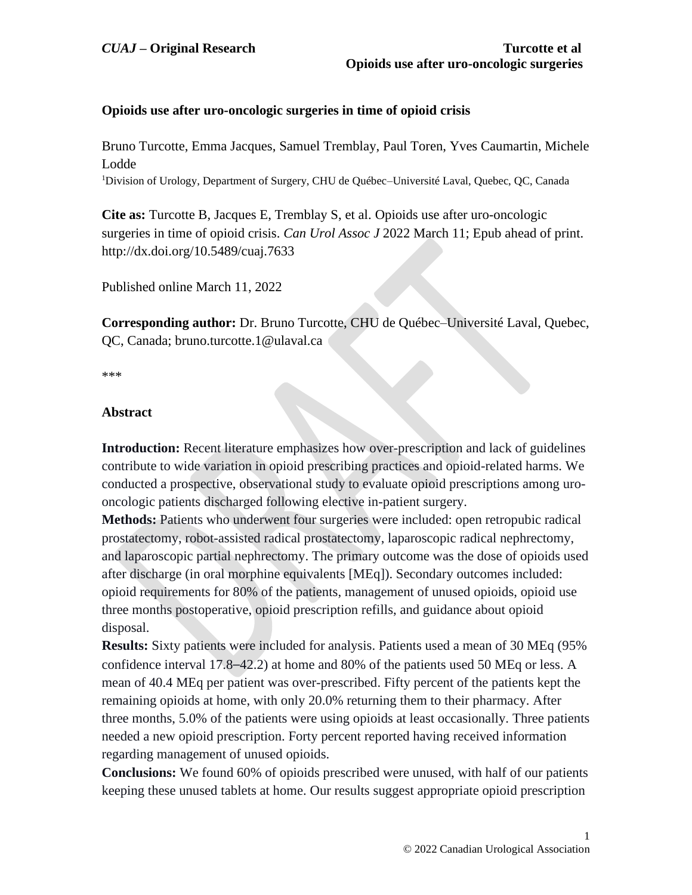# **Opioids use after uro-oncologic surgeries in time of opioid crisis**

Bruno Turcotte, Emma Jacques, Samuel Tremblay, Paul Toren, Yves Caumartin, Michele Lodde

<sup>1</sup>Division of Urology, Department of Surgery, CHU de Québec-Université Laval, Quebec, QC, Canada

**Cite as:** Turcotte B, Jacques E, Tremblay S, et al. Opioids use after uro-oncologic surgeries in time of opioid crisis. *Can Urol Assoc J* 2022 March 11; Epub ahead of print. http://dx.doi.org/10.5489/cuaj.7633

Published online March 11, 2022

**Corresponding author:** Dr. Bruno Turcotte, CHU de Québec–Université Laval, Quebec, QC, Canada; bruno.turcotte.1@ulaval.ca

\*\*\*

## **Abstract**

**Introduction:** Recent literature emphasizes how over-prescription and lack of guidelines contribute to wide variation in opioid prescribing practices and opioid-related harms. We conducted a prospective, observational study to evaluate opioid prescriptions among urooncologic patients discharged following elective in-patient surgery.

**Methods:** Patients who underwent four surgeries were included: open retropubic radical prostatectomy, robot-assisted radical prostatectomy, laparoscopic radical nephrectomy, and laparoscopic partial nephrectomy. The primary outcome was the dose of opioids used after discharge (in oral morphine equivalents [MEq]). Secondary outcomes included: opioid requirements for 80% of the patients, management of unused opioids, opioid use three months postoperative, opioid prescription refills, and guidance about opioid disposal.

**Results:** Sixty patients were included for analysis. Patients used a mean of 30 MEq (95% confidence interval 17.8–42.2) at home and 80% of the patients used 50 MEq or less. A mean of 40.4 MEq per patient was over-prescribed. Fifty percent of the patients kept the remaining opioids at home, with only 20.0% returning them to their pharmacy. After three months, 5.0% of the patients were using opioids at least occasionally. Three patients needed a new opioid prescription. Forty percent reported having received information regarding management of unused opioids.

**Conclusions:** We found 60% of opioids prescribed were unused, with half of our patients keeping these unused tablets at home. Our results suggest appropriate opioid prescription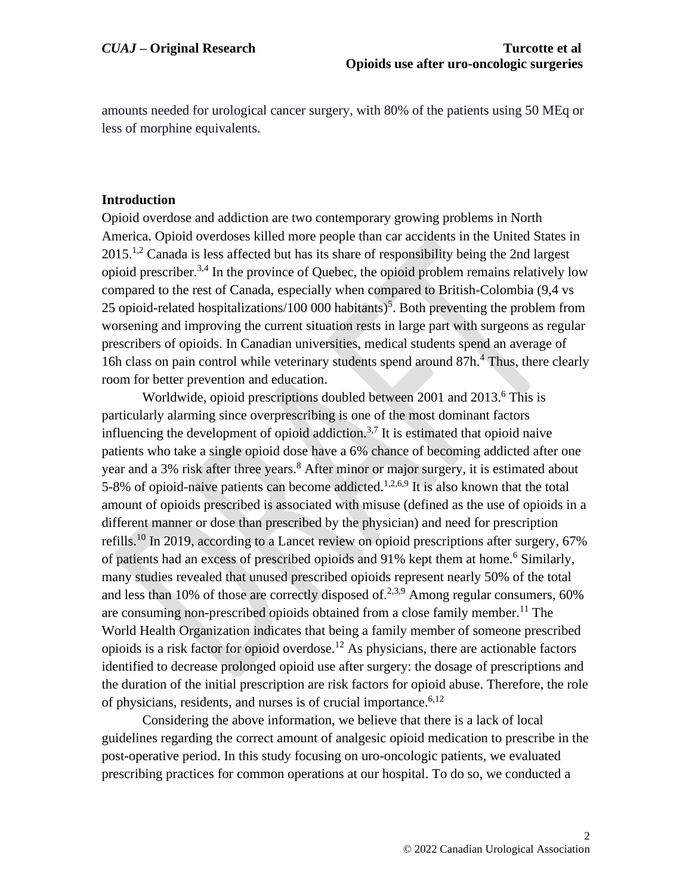amounts needed for urological cancer surgery, with 80% of the patients using 50 MEq or less of morphine equivalents.

#### **Introduction**

Opioid overdose and addiction are two contemporary growing problems in North America. Opioid overdoses killed more people than car accidents in the United States in  $2015<sup>1,2</sup>$  Canada is less affected but has its share of responsibility being the 2nd largest opioid prescriber.<sup>3,4</sup> In the province of Quebec, the opioid problem remains relatively low compared to the rest of Canada, especially when compared to British-Colombia (9,4 vs 25 opioid-related hospitalizations/100 000 habitants)<sup>5</sup>. Both preventing the problem from worsening and improving the current situation rests in large part with surgeons as regular prescribers of opioids. In Canadian universities, medical students spend an average of 16h class on pain control while veterinary students spend around  $87h<sup>4</sup>$ . Thus, there clearly room for better prevention and education.

Worldwide, opioid prescriptions doubled between 2001 and 2013.<sup>6</sup> This is particularly alarming since overprescribing is one of the most dominant factors influencing the development of opioid addiction.<sup>3,7</sup> It is estimated that opioid naive patients who take a single opioid dose have a 6% chance of becoming addicted after one year and a 3% risk after three years. <sup>8</sup> After minor or major surgery, it is estimated about 5-8% of opioid-naive patients can become addicted.<sup>1,2,6,9</sup> It is also known that the total amount of opioids prescribed is associated with misuse (defined as the use of opioids in a different manner or dose than prescribed by the physician) and need for prescription refills.<sup>10</sup> In 2019, according to a Lancet review on opioid prescriptions after surgery, 67% of patients had an excess of prescribed opioids and 91% kept them at home.<sup>6</sup> Similarly, many studies revealed that unused prescribed opioids represent nearly 50% of the total and less than 10% of those are correctly disposed of.<sup>2,3,9</sup> Among regular consumers, 60% are consuming non-prescribed opioids obtained from a close family member. <sup>11</sup> The World Health Organization indicates that being a family member of someone prescribed opioids is a risk factor for opioid overdose.<sup>12</sup> As physicians, there are actionable factors identified to decrease prolonged opioid use after surgery: the dosage of prescriptions and the duration of the initial prescription are risk factors for opioid abuse. Therefore, the role of physicians, residents, and nurses is of crucial importance.<sup>6,12</sup>

Considering the above information, we believe that there is a lack of local guidelines regarding the correct amount of analgesic opioid medication to prescribe in the post-operative period. In this study focusing on uro-oncologic patients, we evaluated prescribing practices for common operations at our hospital. To do so, we conducted a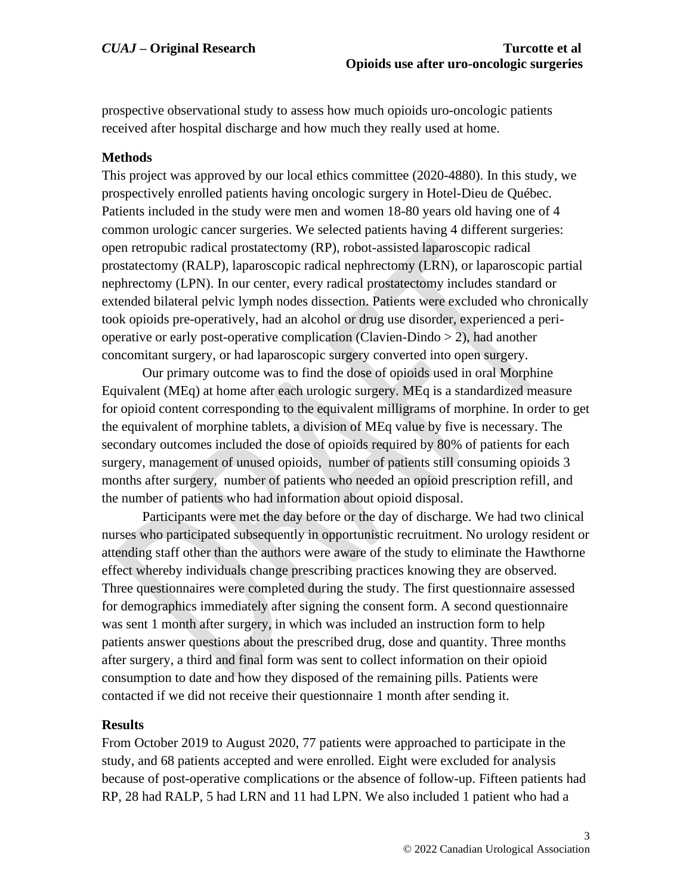prospective observational study to assess how much opioids uro-oncologic patients received after hospital discharge and how much they really used at home.

#### **Methods**

This project was approved by our local ethics committee (2020-4880). In this study, we prospectively enrolled patients having oncologic surgery in Hotel-Dieu de Québec. Patients included in the study were men and women 18-80 years old having one of 4 common urologic cancer surgeries. We selected patients having 4 different surgeries: open retropubic radical prostatectomy (RP), robot-assisted laparoscopic radical prostatectomy (RALP), laparoscopic radical nephrectomy (LRN), or laparoscopic partial nephrectomy (LPN). In our center, every radical prostatectomy includes standard or extended bilateral pelvic lymph nodes dissection. Patients were excluded who chronically took opioids pre-operatively, had an alcohol or drug use disorder, experienced a perioperative or early post-operative complication (Clavien-Dindo  $> 2$ ), had another concomitant surgery, or had laparoscopic surgery converted into open surgery.

Our primary outcome was to find the dose of opioids used in oral Morphine Equivalent (MEq) at home after each urologic surgery. MEq is a standardized measure for opioid content corresponding to the equivalent milligrams of morphine. In order to get the equivalent of morphine tablets, a division of MEq value by five is necessary. The secondary outcomes included the dose of opioids required by 80% of patients for each surgery, management of unused opioids, number of patients still consuming opioids 3 months after surgery, number of patients who needed an opioid prescription refill, and the number of patients who had information about opioid disposal.

Participants were met the day before or the day of discharge. We had two clinical nurses who participated subsequently in opportunistic recruitment. No urology resident or attending staff other than the authors were aware of the study to eliminate the Hawthorne effect whereby individuals change prescribing practices knowing they are observed. Three questionnaires were completed during the study. The first questionnaire assessed for demographics immediately after signing the consent form. A second questionnaire was sent 1 month after surgery, in which was included an instruction form to help patients answer questions about the prescribed drug, dose and quantity. Three months after surgery, a third and final form was sent to collect information on their opioid consumption to date and how they disposed of the remaining pills. Patients were contacted if we did not receive their questionnaire 1 month after sending it.

## **Results**

From October 2019 to August 2020, 77 patients were approached to participate in the study, and 68 patients accepted and were enrolled. Eight were excluded for analysis because of post-operative complications or the absence of follow-up. Fifteen patients had RP, 28 had RALP, 5 had LRN and 11 had LPN. We also included 1 patient who had a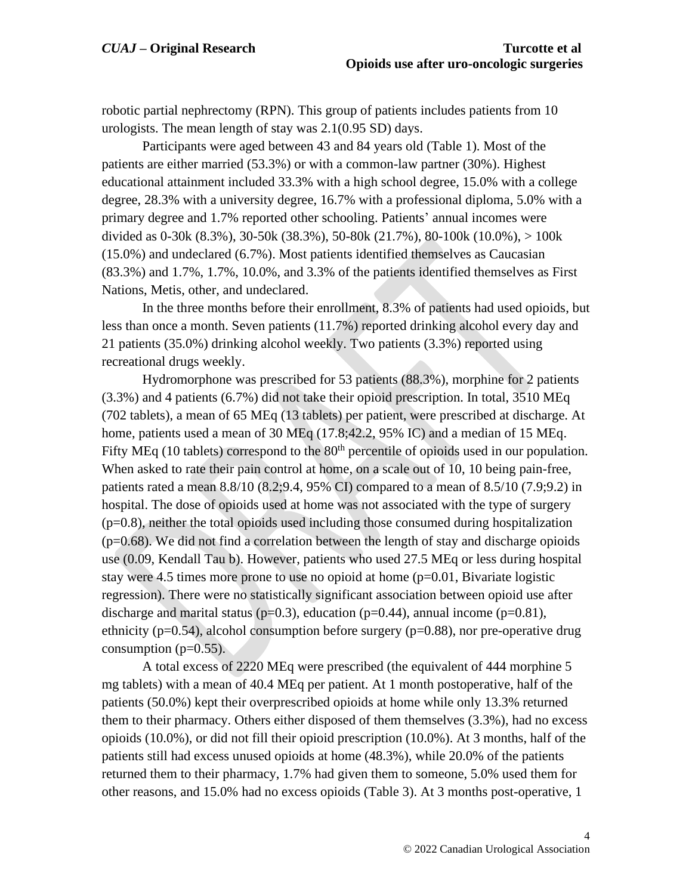robotic partial nephrectomy (RPN). This group of patients includes patients from 10 urologists. The mean length of stay was 2.1(0.95 SD) days.

Participants were aged between 43 and 84 years old (Table 1). Most of the patients are either married (53.3%) or with a common-law partner (30%). Highest educational attainment included 33.3% with a high school degree, 15.0% with a college degree, 28.3% with a university degree, 16.7% with a professional diploma, 5.0% with a primary degree and 1.7% reported other schooling. Patients' annual incomes were divided as 0-30k (8.3%), 30-50k (38.3%), 50-80k (21.7%), 80-100k (10.0%), > 100k (15.0%) and undeclared (6.7%). Most patients identified themselves as Caucasian (83.3%) and 1.7%, 1.7%, 10.0%, and 3.3% of the patients identified themselves as First Nations, Metis, other, and undeclared.

In the three months before their enrollment, 8.3% of patients had used opioids, but less than once a month. Seven patients (11.7%) reported drinking alcohol every day and 21 patients (35.0%) drinking alcohol weekly. Two patients (3.3%) reported using recreational drugs weekly.

Hydromorphone was prescribed for 53 patients (88.3%), morphine for 2 patients (3.3%) and 4 patients (6.7%) did not take their opioid prescription. In total, 3510 MEq (702 tablets), a mean of 65 MEq (13 tablets) per patient, were prescribed at discharge. At home, patients used a mean of 30 MEq (17.8;42.2, 95% IC) and a median of 15 MEq. Fifty MEq (10 tablets) correspond to the  $80<sup>th</sup>$  percentile of opioids used in our population. When asked to rate their pain control at home, on a scale out of 10, 10 being pain-free, patients rated a mean 8.8/10 (8.2;9.4, 95% CI) compared to a mean of 8.5/10 (7.9;9.2) in hospital. The dose of opioids used at home was not associated with the type of surgery  $(p=0.8)$ , neither the total opioids used including those consumed during hospitalization (p=0.68). We did not find a correlation between the length of stay and discharge opioids use (0.09, Kendall Tau b). However, patients who used 27.5 MEq or less during hospital stay were 4.5 times more prone to use no opioid at home  $(p=0.01, Bivariate$  logistic regression). There were no statistically significant association between opioid use after discharge and marital status ( $p=0.3$ ), education ( $p=0.44$ ), annual income ( $p=0.81$ ), ethnicity ( $p=0.54$ ), alcohol consumption before surgery ( $p=0.88$ ), nor pre-operative drug consumption  $(p=0.55)$ .

A total excess of 2220 MEq were prescribed (the equivalent of 444 morphine 5 mg tablets) with a mean of 40.4 MEq per patient. At 1 month postoperative, half of the patients (50.0%) kept their overprescribed opioids at home while only 13.3% returned them to their pharmacy. Others either disposed of them themselves (3.3%), had no excess opioids (10.0%), or did not fill their opioid prescription (10.0%). At 3 months, half of the patients still had excess unused opioids at home (48.3%), while 20.0% of the patients returned them to their pharmacy, 1.7% had given them to someone, 5.0% used them for other reasons, and 15.0% had no excess opioids (Table 3). At 3 months post-operative, 1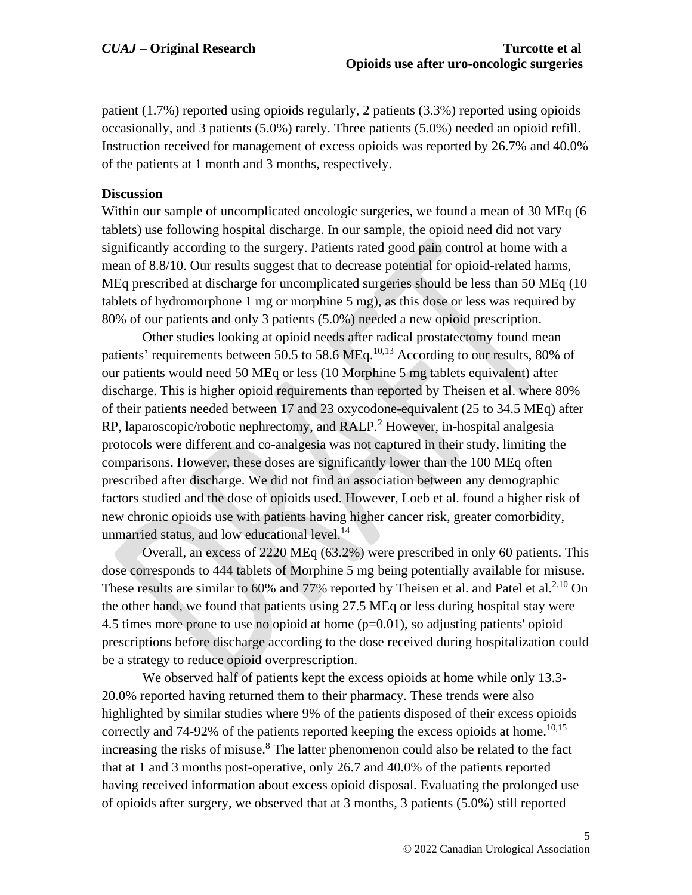patient (1.7%) reported using opioids regularly, 2 patients (3.3%) reported using opioids occasionally, and 3 patients (5.0%) rarely. Three patients (5.0%) needed an opioid refill. Instruction received for management of excess opioids was reported by 26.7% and 40.0% of the patients at 1 month and 3 months, respectively.

#### **Discussion**

Within our sample of uncomplicated oncologic surgeries, we found a mean of 30 MEq (6 tablets) use following hospital discharge. In our sample, the opioid need did not vary significantly according to the surgery. Patients rated good pain control at home with a mean of 8.8/10. Our results suggest that to decrease potential for opioid-related harms, MEq prescribed at discharge for uncomplicated surgeries should be less than 50 MEq (10 tablets of hydromorphone 1 mg or morphine 5 mg), as this dose or less was required by 80% of our patients and only 3 patients (5.0%) needed a new opioid prescription.

Other studies looking at opioid needs after radical prostatectomy found mean patients' requirements between 50.5 to 58.6 MEq.<sup>10,13</sup> According to our results, 80% of our patients would need 50 MEq or less (10 Morphine 5 mg tablets equivalent) after discharge. This is higher opioid requirements than reported by Theisen et al. where 80% of their patients needed between 17 and 23 oxycodone-equivalent (25 to 34.5 MEq) after RP, laparoscopic/robotic nephrectomy, and RALP.<sup>2</sup> However, in-hospital analgesia protocols were different and co-analgesia was not captured in their study, limiting the comparisons. However, these doses are significantly lower than the 100 MEq often prescribed after discharge. We did not find an association between any demographic factors studied and the dose of opioids used. However, Loeb et al. found a higher risk of new chronic opioids use with patients having higher cancer risk, greater comorbidity, unmarried status, and low educational level. $^{14}$ 

Overall, an excess of 2220 MEq (63.2%) were prescribed in only 60 patients. This dose corresponds to 444 tablets of Morphine 5 mg being potentially available for misuse. These results are similar to  $60\%$  and  $77\%$  reported by Theisen et al. and Patel et al.<sup>2,10</sup> On the other hand, we found that patients using 27.5 MEq or less during hospital stay were 4.5 times more prone to use no opioid at home  $(p=0.01)$ , so adjusting patients' opioid prescriptions before discharge according to the dose received during hospitalization could be a strategy to reduce opioid overprescription.

We observed half of patients kept the excess opioids at home while only 13.3- 20.0% reported having returned them to their pharmacy. These trends were also highlighted by similar studies where 9% of the patients disposed of their excess opioids correctly and 74-92% of the patients reported keeping the excess opioids at home.<sup>10,15</sup> increasing the risks of misuse. <sup>8</sup> The latter phenomenon could also be related to the fact that at 1 and 3 months post-operative, only 26.7 and 40.0% of the patients reported having received information about excess opioid disposal. Evaluating the prolonged use of opioids after surgery, we observed that at 3 months, 3 patients (5.0%) still reported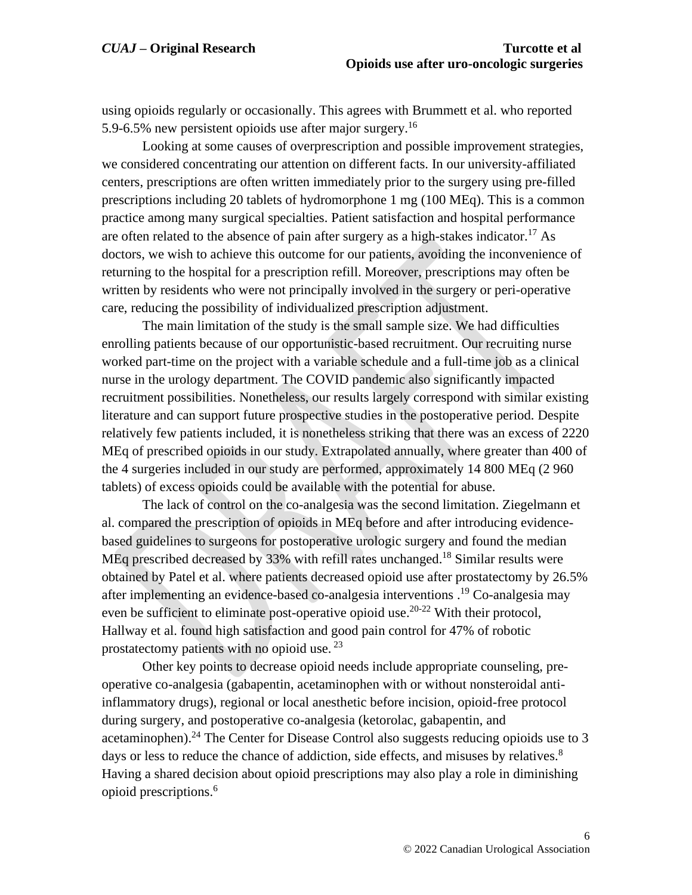using opioids regularly or occasionally. This agrees with Brummett et al. who reported 5.9-6.5% new persistent opioids use after major surgery.<sup>16</sup>

Looking at some causes of overprescription and possible improvement strategies, we considered concentrating our attention on different facts. In our university-affiliated centers, prescriptions are often written immediately prior to the surgery using pre-filled prescriptions including 20 tablets of hydromorphone 1 mg (100 MEq). This is a common practice among many surgical specialties. Patient satisfaction and hospital performance are often related to the absence of pain after surgery as a high-stakes indicator.<sup>17</sup> As doctors, we wish to achieve this outcome for our patients, avoiding the inconvenience of returning to the hospital for a prescription refill. Moreover, prescriptions may often be written by residents who were not principally involved in the surgery or peri-operative care, reducing the possibility of individualized prescription adjustment.

The main limitation of the study is the small sample size. We had difficulties enrolling patients because of our opportunistic-based recruitment. Our recruiting nurse worked part-time on the project with a variable schedule and a full-time job as a clinical nurse in the urology department. The COVID pandemic also significantly impacted recruitment possibilities. Nonetheless, our results largely correspond with similar existing literature and can support future prospective studies in the postoperative period. Despite relatively few patients included, it is nonetheless striking that there was an excess of 2220 MEq of prescribed opioids in our study. Extrapolated annually, where greater than 400 of the 4 surgeries included in our study are performed, approximately 14 800 MEq (2 960 tablets) of excess opioids could be available with the potential for abuse.

The lack of control on the co-analgesia was the second limitation. Ziegelmann et al. compared the prescription of opioids in MEq before and after introducing evidencebased guidelines to surgeons for postoperative urologic surgery and found the median MEq prescribed decreased by 33% with refill rates unchanged.<sup>18</sup> Similar results were obtained by Patel et al. where patients decreased opioid use after prostatectomy by 26.5% after implementing an evidence-based co-analgesia interventions . <sup>19</sup> Co-analgesia may even be sufficient to eliminate post-operative opioid use.<sup>20-22</sup> With their protocol, Hallway et al. found high satisfaction and good pain control for 47% of robotic prostatectomy patients with no opioid use.  $^{23}$ 

Other key points to decrease opioid needs include appropriate counseling, preoperative co-analgesia (gabapentin, acetaminophen with or without nonsteroidal antiinflammatory drugs), regional or local anesthetic before incision, opioid-free protocol during surgery, and postoperative co-analgesia (ketorolac, gabapentin, and acetaminophen).<sup>24</sup> The Center for Disease Control also suggests reducing opioids use to 3 days or less to reduce the chance of addiction, side effects, and misuses by relatives.<sup>8</sup> Having a shared decision about opioid prescriptions may also play a role in diminishing opioid prescriptions.<sup>6</sup>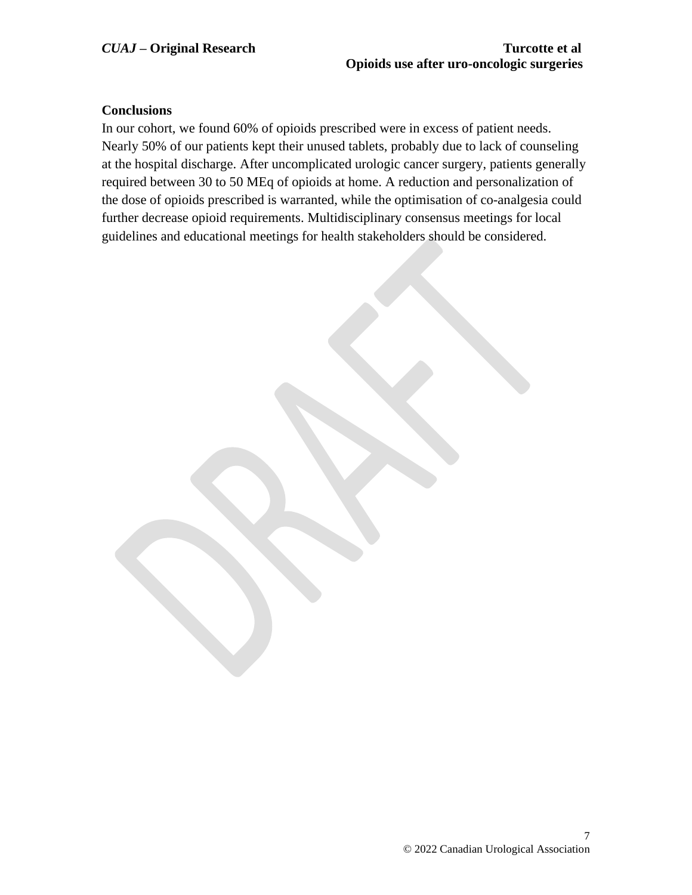# **Conclusions**

In our cohort, we found 60% of opioids prescribed were in excess of patient needs. Nearly 50% of our patients kept their unused tablets, probably due to lack of counseling at the hospital discharge. After uncomplicated urologic cancer surgery, patients generally required between 30 to 50 MEq of opioids at home. A reduction and personalization of the dose of opioids prescribed is warranted, while the optimisation of co-analgesia could further decrease opioid requirements. Multidisciplinary consensus meetings for local guidelines and educational meetings for health stakeholders should be considered.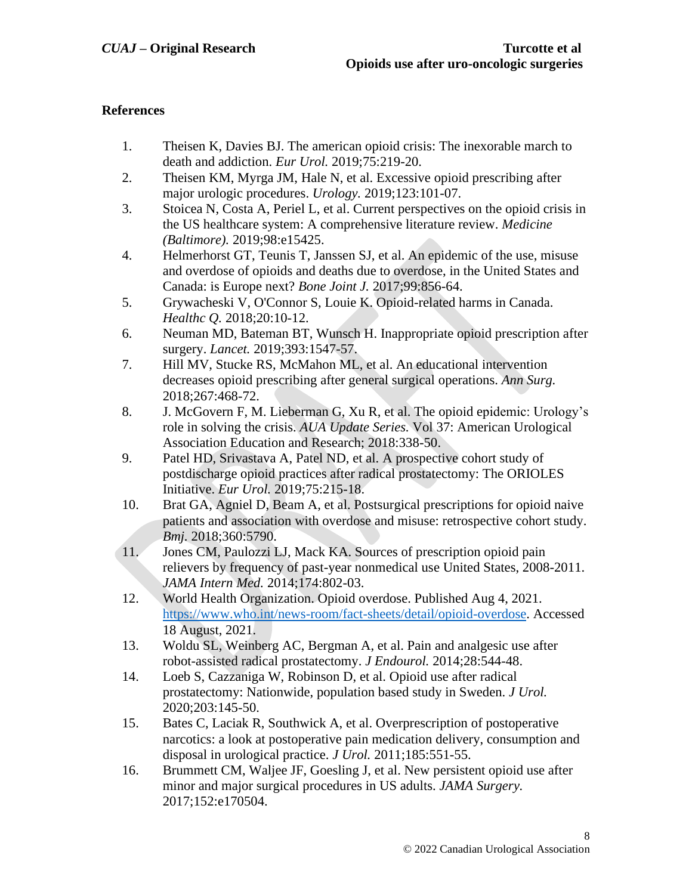# **References**

- 1. Theisen K, Davies BJ. The american opioid crisis: The inexorable march to death and addiction. *Eur Urol.* 2019;75:219-20.
- 2. Theisen KM, Myrga JM, Hale N, et al. Excessive opioid prescribing after major urologic procedures. *Urology.* 2019;123:101-07.
- 3. Stoicea N, Costa A, Periel L, et al. Current perspectives on the opioid crisis in the US healthcare system: A comprehensive literature review. *Medicine (Baltimore).* 2019;98:e15425.
- 4. Helmerhorst GT, Teunis T, Janssen SJ, et al. An epidemic of the use, misuse and overdose of opioids and deaths due to overdose, in the United States and Canada: is Europe next? *Bone Joint J.* 2017;99:856-64.
- 5. Grywacheski V, O'Connor S, Louie K. Opioid-related harms in Canada. *Healthc Q.* 2018;20:10-12.
- 6. Neuman MD, Bateman BT, Wunsch H. Inappropriate opioid prescription after surgery. *Lancet.* 2019;393:1547-57.
- 7. Hill MV, Stucke RS, McMahon ML, et al. An educational intervention decreases opioid prescribing after general surgical operations. *Ann Surg.*  2018;267:468-72.
- 8. J. McGovern F, M. Lieberman G, Xu R, et al. The opioid epidemic: Urology's role in solving the crisis. *AUA Update Series.* Vol 37: American Urological Association Education and Research; 2018:338-50.
- 9. Patel HD, Srivastava A, Patel ND, et al. A prospective cohort study of postdischarge opioid practices after radical prostatectomy: The ORIOLES Initiative. *Eur Urol.* 2019;75:215-18.
- 10. Brat GA, Agniel D, Beam A, et al. Postsurgical prescriptions for opioid naive patients and association with overdose and misuse: retrospective cohort study. *Bmj.* 2018;360:5790.
- 11. Jones CM, Paulozzi LJ, Mack KA. Sources of prescription opioid pain relievers by frequency of past-year nonmedical use United States, 2008-2011. *JAMA Intern Med.* 2014;174:802-03.
- 12. World Health Organization. Opioid overdose. Published Aug 4, 2021. [https://www.who.int/news-room/fact-sheets/detail/opioid-overdose.](https://www.who.int/news-room/fact-sheets/detail/opioid-overdose) Accessed 18 August, 2021.
- 13. Woldu SL, Weinberg AC, Bergman A, et al. Pain and analgesic use after robot-assisted radical prostatectomy. *J Endourol.* 2014;28:544-48.
- 14. Loeb S, Cazzaniga W, Robinson D, et al. Opioid use after radical prostatectomy: Nationwide, population based study in Sweden. *J Urol.*  2020;203:145-50.
- 15. Bates C, Laciak R, Southwick A, et al. Overprescription of postoperative narcotics: a look at postoperative pain medication delivery, consumption and disposal in urological practice. *J Urol.* 2011;185:551-55.
- 16. Brummett CM, Waljee JF, Goesling J, et al. New persistent opioid use after minor and major surgical procedures in US adults. *JAMA Surgery.*  2017;152:e170504.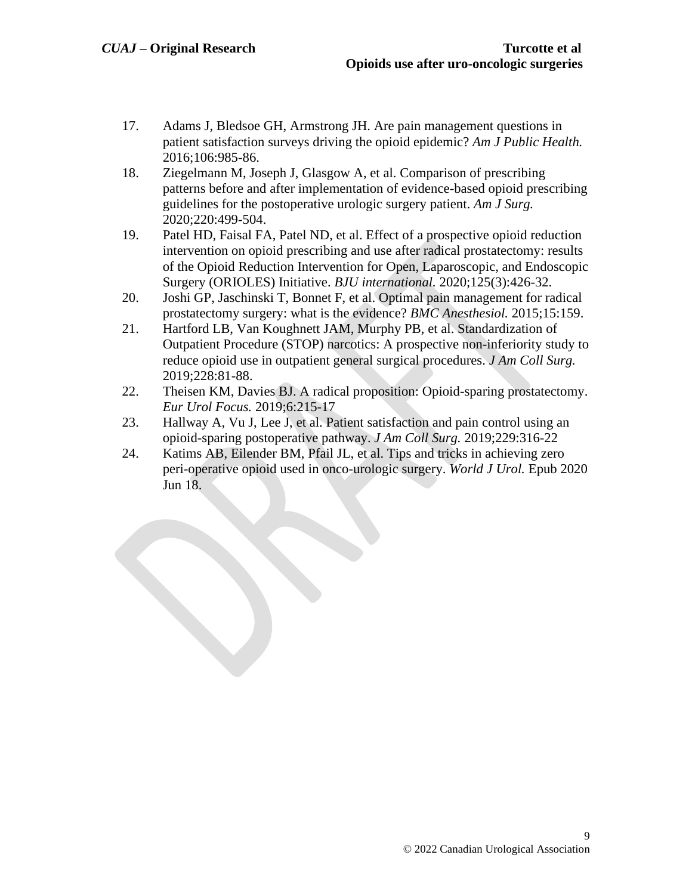- 17. Adams J, Bledsoe GH, Armstrong JH. Are pain management questions in patient satisfaction surveys driving the opioid epidemic? *Am J Public Health.*  2016;106:985-86.
- 18. Ziegelmann M, Joseph J, Glasgow A, et al. Comparison of prescribing patterns before and after implementation of evidence-based opioid prescribing guidelines for the postoperative urologic surgery patient. *Am J Surg.*  2020;220:499-504.
- 19. Patel HD, Faisal FA, Patel ND, et al. Effect of a prospective opioid reduction intervention on opioid prescribing and use after radical prostatectomy: results of the Opioid Reduction Intervention for Open, Laparoscopic, and Endoscopic Surgery (ORIOLES) Initiative. *BJU international.* 2020;125(3):426-32.
- 20. Joshi GP, Jaschinski T, Bonnet F, et al. Optimal pain management for radical prostatectomy surgery: what is the evidence? *BMC Anesthesiol.* 2015;15:159.
- 21. Hartford LB, Van Koughnett JAM, Murphy PB, et al. Standardization of Outpatient Procedure (STOP) narcotics: A prospective non-inferiority study to reduce opioid use in outpatient general surgical procedures. *J Am Coll Surg.*  2019;228:81-88.
- 22. Theisen KM, Davies BJ. A radical proposition: Opioid-sparing prostatectomy. *Eur Urol Focus.* 2019;6:215-17
- 23. Hallway A, Vu J, Lee J, et al. Patient satisfaction and pain control using an opioid-sparing postoperative pathway. *J Am Coll Surg.* 2019;229:316-22
- 24. Katims AB, Eilender BM, Pfail JL, et al. Tips and tricks in achieving zero peri-operative opioid used in onco-urologic surgery. *World J Urol.* Epub 2020 Jun 18.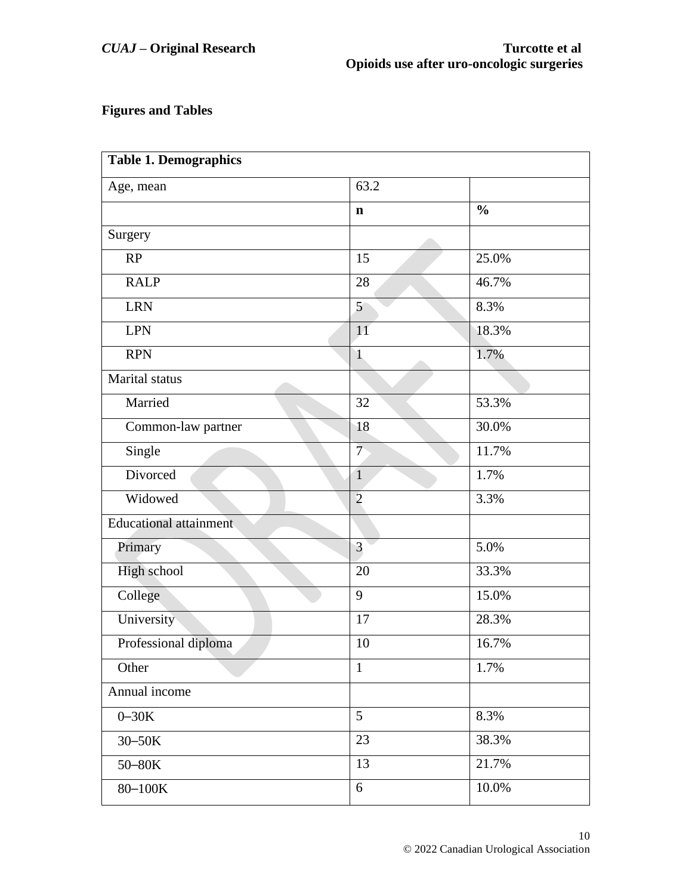# **Figures and Tables**

| <b>Table 1. Demographics</b>  |                |               |  |
|-------------------------------|----------------|---------------|--|
| Age, mean                     | 63.2           |               |  |
|                               | $\mathbf n$    | $\frac{0}{0}$ |  |
| Surgery                       |                |               |  |
| RP                            | 15             | 25.0%         |  |
| <b>RALP</b>                   | 28             | 46.7%         |  |
| <b>LRN</b>                    | 5              | 8.3%          |  |
| <b>LPN</b>                    | 11             | 18.3%         |  |
| <b>RPN</b>                    | $\mathbf{1}$   | 1.7%          |  |
| Marital status                |                |               |  |
| Married                       | 32             | 53.3%         |  |
| Common-law partner            | 18             | 30.0%         |  |
| Single                        | 7 <sup>5</sup> | 11.7%         |  |
| Divorced                      | $\mathbf{1}$   | 1.7%          |  |
| Widowed                       | $\overline{2}$ | 3.3%          |  |
| <b>Educational attainment</b> |                |               |  |
| Primary                       | 3              | 5.0%          |  |
| High school                   | 20             | 33.3%         |  |
| College                       | 9              | 15.0%         |  |
| University                    | 17             | 28.3%         |  |
| Professional diploma          | 10             | 16.7%         |  |
| Other                         | $\mathbf{1}$   | 1.7%          |  |
| Annual income                 |                |               |  |
| $0 - 30K$                     | 5              | 8.3%          |  |
| 30-50K                        | 23             | 38.3%         |  |
| 50-80K                        | 13             | 21.7%         |  |
| $80 - 100K$                   | 6              | $10.0\%$      |  |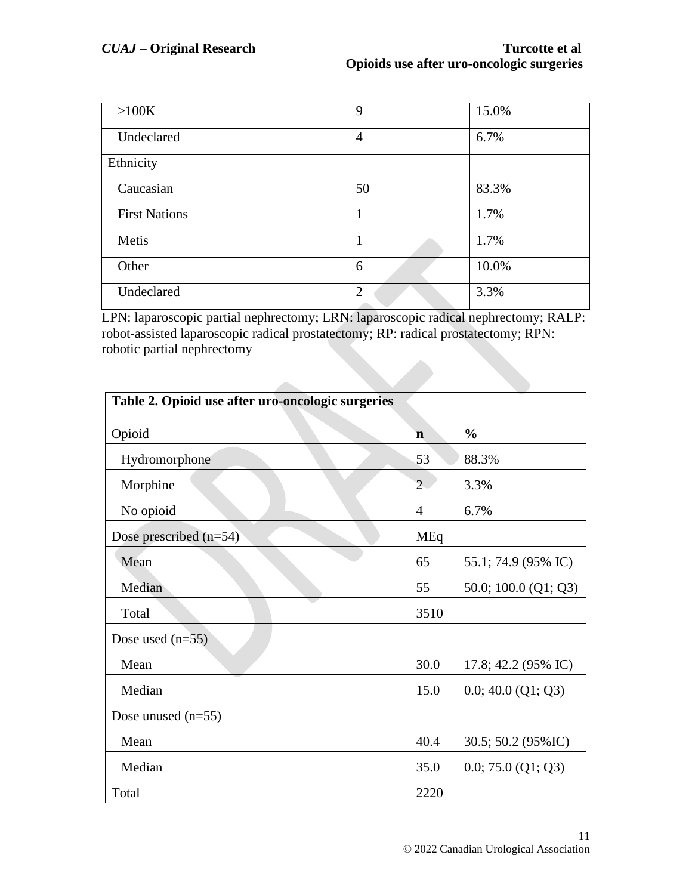| >100K                | 9              | 15.0% |
|----------------------|----------------|-------|
| Undeclared           | $\overline{4}$ | 6.7%  |
| Ethnicity            |                |       |
| Caucasian            | 50             | 83.3% |
| <b>First Nations</b> |                | 1.7%  |
| Metis                | 1              | 1.7%  |
| Other                | 6              | 10.0% |
| Undeclared           | $\overline{2}$ | 3.3%  |

LPN: laparoscopic partial nephrectomy; LRN: laparoscopic radical nephrectomy; RALP: robot-assisted laparoscopic radical prostatectomy; RP: radical prostatectomy; RPN: robotic partial nephrectomy

| Table 2. Opioid use after uro-oncologic surgeries |                |                        |  |  |
|---------------------------------------------------|----------------|------------------------|--|--|
| Opioid                                            | $\mathbf n$    | $\frac{0}{0}$          |  |  |
| Hydromorphone                                     | 53             | 88.3%                  |  |  |
| Morphine                                          | $\overline{2}$ | 3.3%                   |  |  |
| No opioid<br>$\overline{4}$                       |                | 6.7%                   |  |  |
| Dose prescribed (n=54)                            | MEq            |                        |  |  |
| Mean                                              | 65             | 55.1; 74.9 (95% IC)    |  |  |
| Median                                            | 55             | 50.0; 100.0 $(Q1; Q3)$ |  |  |
| Total                                             | 3510           |                        |  |  |
| Dose used $(n=55)$                                |                |                        |  |  |
| Mean                                              | 30.0           | 17.8; 42.2 (95% IC)    |  |  |
| Median                                            | 15.0           | 0.0; 40.0 (Q1; Q3)     |  |  |
| Dose unused $(n=55)$                              |                |                        |  |  |
| Mean                                              | 40.4           | 30.5; 50.2 (95% IC)    |  |  |
| Median                                            | 35.0           | 0.0; 75.0 (Q1; Q3)     |  |  |
| Total                                             | 2220           |                        |  |  |